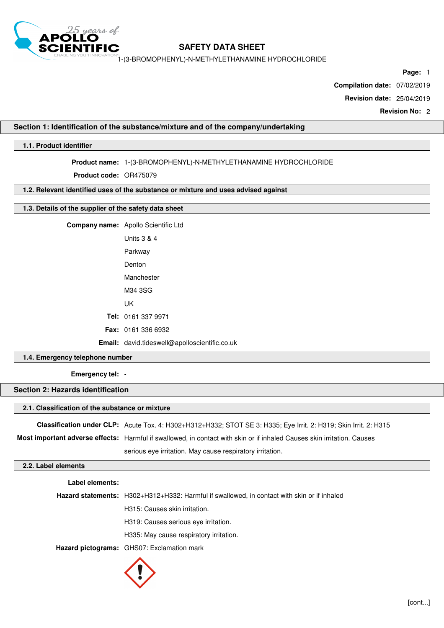

1-(3-BROMOPHENYL)-N-METHYLETHANAMINE HYDROCHLORIDE

**Page:** 1

**Compilation date:** 07/02/2019

**Revision date:** 25/04/2019

**Revision No:** 2

# **Section 1: Identification of the substance/mixture and of the company/undertaking**

# **1.1. Product identifier**

# **Product name:** 1-(3-BROMOPHENYL)-N-METHYLETHANAMINE HYDROCHLORIDE

**Product code:** OR475079

### **1.2. Relevant identified uses of the substance or mixture and uses advised against**

# **1.3. Details of the supplier of the safety data sheet**

**Company name:** Apollo Scientific Ltd

| Units 3 & 4                                          |
|------------------------------------------------------|
| Parkway                                              |
| Denton                                               |
| Manchester                                           |
| M34 3SG                                              |
| UΚ                                                   |
| <b>Tel:</b> 0161 337 9971                            |
| <b>Fax: 0161 336 6932</b>                            |
| <b>Email:</b> david.tideswell@apolloscientific.co.uk |

# **1.4. Emergency telephone number**

**Emergency tel:** -

# **Section 2: Hazards identification**

#### **2.1. Classification of the substance or mixture**

| Classification under CLP: Acute Tox. 4: H302+H312+H332; STOT SE 3: H335; Eye Irrit. 2: H319; Skin Irrit. 2: H315        |
|-------------------------------------------------------------------------------------------------------------------------|
| Most important adverse effects: Harmful if swallowed, in contact with skin or if inhaled Causes skin irritation. Causes |
| serious eye irritation. May cause respiratory irritation.                                                               |

# **2.2. Label elements**

| Label elements: |                                                                                             |
|-----------------|---------------------------------------------------------------------------------------------|
|                 | Hazard statements: H302+H312+H332: Harmful if swallowed, in contact with skin or if inhaled |
|                 | H315: Causes skin irritation.                                                               |
|                 | H319: Causes serious eye irritation.                                                        |
|                 | H335: May cause respiratory irritation.                                                     |
|                 | Hazard pictograms: GHS07: Exclamation mark                                                  |

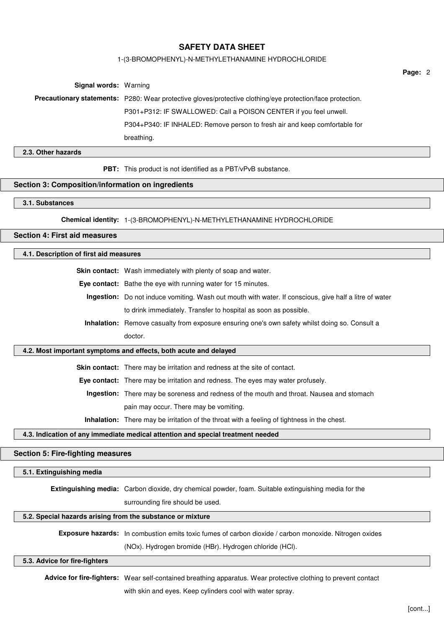#### 1-(3-BROMOPHENYL)-N-METHYLETHANAMINE HYDROCHLORIDE

**Signal words:** Warning **Precautionary statements:** P280: Wear protective gloves/protective clothing/eye protection/face protection. P301+P312: IF SWALLOWED: Call a POISON CENTER if you feel unwell. P304+P340: IF INHALED: Remove person to fresh air and keep comfortable for breathing.

# **2.3. Other hazards**

**PBT:** This product is not identified as a PBT/vPvB substance.

### **Section 3: Composition/information on ingredients**

#### **3.1. Substances**

**Chemical identity:** 1-(3-BROMOPHENYL)-N-METHYLETHANAMINE HYDROCHLORIDE

# **Section 4: First aid measures**

### **4.1. Description of first aid measures**

**Skin contact:** Wash immediately with plenty of soap and water.

**Eye contact:** Bathe the eye with running water for 15 minutes.

**Ingestion:** Do not induce vomiting. Wash out mouth with water. If conscious, give half a litre of water to drink immediately. Transfer to hospital as soon as possible.

**Inhalation:** Remove casualty from exposure ensuring one's own safety whilst doing so. Consult a doctor.

### **4.2. Most important symptoms and effects, both acute and delayed**

**Skin contact:** There may be irritation and redness at the site of contact.

**Eye contact:** There may be irritation and redness. The eyes may water profusely.

**Ingestion:** There may be soreness and redness of the mouth and throat. Nausea and stomach pain may occur. There may be vomiting.

**Inhalation:** There may be irritation of the throat with a feeling of tightness in the chest.

#### **4.3. Indication of any immediate medical attention and special treatment needed**

### **Section 5: Fire-fighting measures**

### **5.1. Extinguishing media**

**Extinguishing media:** Carbon dioxide, dry chemical powder, foam. Suitable extinguishing media for the

surrounding fire should be used.

### **5.2. Special hazards arising from the substance or mixture**

**Exposure hazards:** In combustion emits toxic fumes of carbon dioxide / carbon monoxide. Nitrogen oxides

(NOx). Hydrogen bromide (HBr). Hydrogen chloride (HCl).

# **5.3. Advice for fire-fighters**

**Advice for fire-fighters:** Wear self-contained breathing apparatus. Wear protective clothing to prevent contact with skin and eyes. Keep cylinders cool with water spray.

**Page:** 2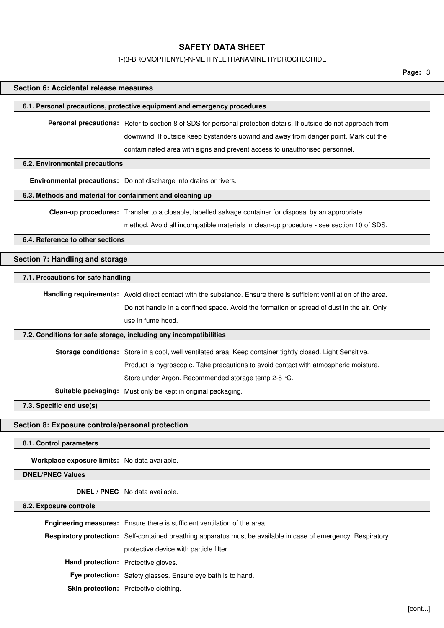#### 1-(3-BROMOPHENYL)-N-METHYLETHANAMINE HYDROCHLORIDE

**Page:** 3

# **Section 6: Accidental release measures**

#### **6.1. Personal precautions, protective equipment and emergency procedures**

**Personal precautions:** Refer to section 8 of SDS for personal protection details. If outside do not approach from downwind. If outside keep bystanders upwind and away from danger point. Mark out the contaminated area with signs and prevent access to unauthorised personnel.

#### **6.2. Environmental precautions**

**Environmental precautions:** Do not discharge into drains or rivers.

# **6.3. Methods and material for containment and cleaning up**

**Clean-up procedures:** Transfer to a closable, labelled salvage container for disposal by an appropriate

method. Avoid all incompatible materials in clean-up procedure - see section 10 of SDS.

# **6.4. Reference to other sections**

# **Section 7: Handling and storage**

### **7.1. Precautions for safe handling**

**Handling requirements:** Avoid direct contact with the substance. Ensure there is sufficient ventilation of the area. Do not handle in a confined space. Avoid the formation or spread of dust in the air. Only use in fume hood.

#### **7.2. Conditions for safe storage, including any incompatibilities**

**Storage conditions:** Store in a cool, well ventilated area. Keep container tightly closed. Light Sensitive. Product is hygroscopic. Take precautions to avoid contact with atmospheric moisture. Store under Argon. Recommended storage temp 2-8 °C. **Suitable packaging:** Must only be kept in original packaging.

**7.3. Specific end use(s)**

#### **Section 8: Exposure controls/personal protection**

**8.1. Control parameters**

**Workplace exposure limits:** No data available.

### **DNEL/PNEC Values**

**DNEL / PNEC** No data available.

#### **8.2. Exposure controls**

|                                            | Engineering measures: Ensure there is sufficient ventilation of the area.                                      |  |
|--------------------------------------------|----------------------------------------------------------------------------------------------------------------|--|
|                                            | Respiratory protection: Self-contained breathing apparatus must be available in case of emergency. Respiratory |  |
|                                            | protective device with particle filter.                                                                        |  |
| <b>Hand protection:</b> Protective gloves. |                                                                                                                |  |
|                                            | <b>Eye protection:</b> Safety glasses. Ensure eye bath is to hand.                                             |  |
|                                            | <b>Skin protection:</b> Protective clothing.                                                                   |  |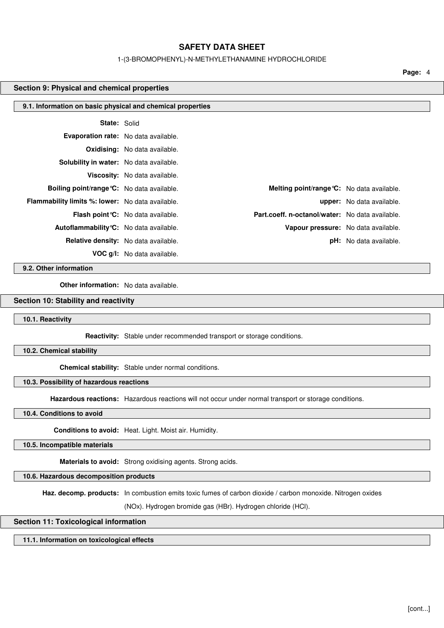#### 1-(3-BROMOPHENYL)-N-METHYLETHANAMINE HYDROCHLORIDE

**Page:** 4

#### **Section 9: Physical and chemical properties**

| 9.1. Information on basic physical and chemical properties |                                             |                                                   |                                  |  |
|------------------------------------------------------------|---------------------------------------------|---------------------------------------------------|----------------------------------|--|
| <b>State: Solid</b>                                        |                                             |                                                   |                                  |  |
| Evaporation rate: No data available.                       |                                             |                                                   |                                  |  |
|                                                            | <b>Oxidising:</b> No data available.        |                                                   |                                  |  |
| <b>Solubility in water:</b> No data available.             |                                             |                                                   |                                  |  |
|                                                            | Viscosity: No data available.               |                                                   |                                  |  |
| <b>Boiling point/range °C:</b> No data available.          |                                             | <b>Melting point/range °C:</b> No data available. |                                  |  |
| <b>Flammability limits %: lower:</b> No data available.    |                                             |                                                   | <b>upper:</b> No data available. |  |
|                                                            | <b>Flash point °C:</b> No data available.   | Part.coeff. n-octanol/water: No data available.   |                                  |  |
| <b>Autoflammability °C:</b> No data available.             |                                             | Vapour pressure: No data available.               |                                  |  |
|                                                            | <b>Relative density:</b> No data available. |                                                   | <b>pH:</b> No data available.    |  |
|                                                            | <b>VOC g/l:</b> No data available.          |                                                   |                                  |  |

**9.2. Other information**

**Other information:** No data available.

### **Section 10: Stability and reactivity**

**10.1. Reactivity**

**Reactivity:** Stable under recommended transport or storage conditions.

**10.2. Chemical stability**

**Chemical stability:** Stable under normal conditions.

# **10.3. Possibility of hazardous reactions**

**Hazardous reactions:** Hazardous reactions will not occur under normal transport or storage conditions.

**10.4. Conditions to avoid**

**Conditions to avoid:** Heat. Light. Moist air. Humidity.

**10.5. Incompatible materials**

**Materials to avoid:** Strong oxidising agents. Strong acids.

**10.6. Hazardous decomposition products**

**Haz. decomp. products:** In combustion emits toxic fumes of carbon dioxide / carbon monoxide. Nitrogen oxides

(NOx). Hydrogen bromide gas (HBr). Hydrogen chloride (HCl).

### **Section 11: Toxicological information**

**11.1. Information on toxicological effects**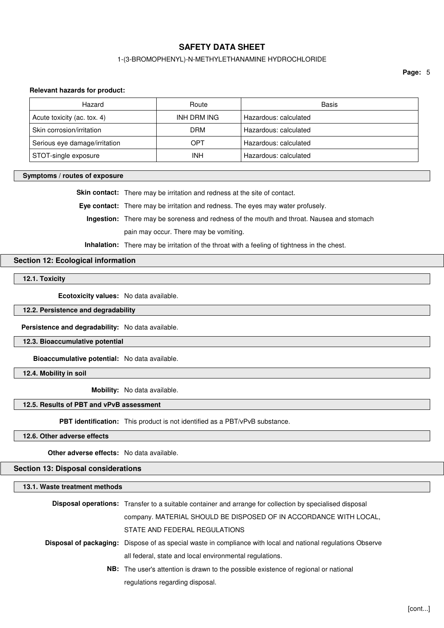# 1-(3-BROMOPHENYL)-N-METHYLETHANAMINE HYDROCHLORIDE

**Page:** 5

### **Relevant hazards for product:**

| Hazard                        | Route       | Basis                 |
|-------------------------------|-------------|-----------------------|
| Acute toxicity (ac. tox. 4)   | INH DRM ING | Hazardous: calculated |
| Skin corrosion/irritation     | <b>DRM</b>  | Hazardous: calculated |
| Serious eye damage/irritation | OPT         | Hazardous: calculated |
| STOT-single exposure          | <b>INH</b>  | Hazardous: calculated |

### **Symptoms / routes of exposure**

**Skin contact:** There may be irritation and redness at the site of contact.

**Eye contact:** There may be irritation and redness. The eyes may water profusely.

**Ingestion:** There may be soreness and redness of the mouth and throat. Nausea and stomach pain may occur. There may be vomiting.

**Inhalation:** There may be irritation of the throat with a feeling of tightness in the chest.

# **Section 12: Ecological information**

**12.1. Toxicity**

**Ecotoxicity values:** No data available.

**12.2. Persistence and degradability**

**Persistence and degradability:** No data available.

**12.3. Bioaccumulative potential**

**Bioaccumulative potential:** No data available.

**12.4. Mobility in soil**

**Mobility:** No data available.

# **12.5. Results of PBT and vPvB assessment**

**PBT identification:** This product is not identified as a PBT/vPvB substance.

**12.6. Other adverse effects**

**Other adverse effects:** No data available.

### **Section 13: Disposal considerations**

# **13.1. Waste treatment methods Disposal operations:** Transfer to a suitable container and arrange for collection by specialised disposal company. MATERIAL SHOULD BE DISPOSED OF IN ACCORDANCE WITH LOCAL, STATE AND FEDERAL REGULATIONS **Disposal of packaging:** Dispose of as special waste in compliance with local and national regulations Observe all federal, state and local environmental regulations. **NB:** The user's attention is drawn to the possible existence of regional or national regulations regarding disposal.